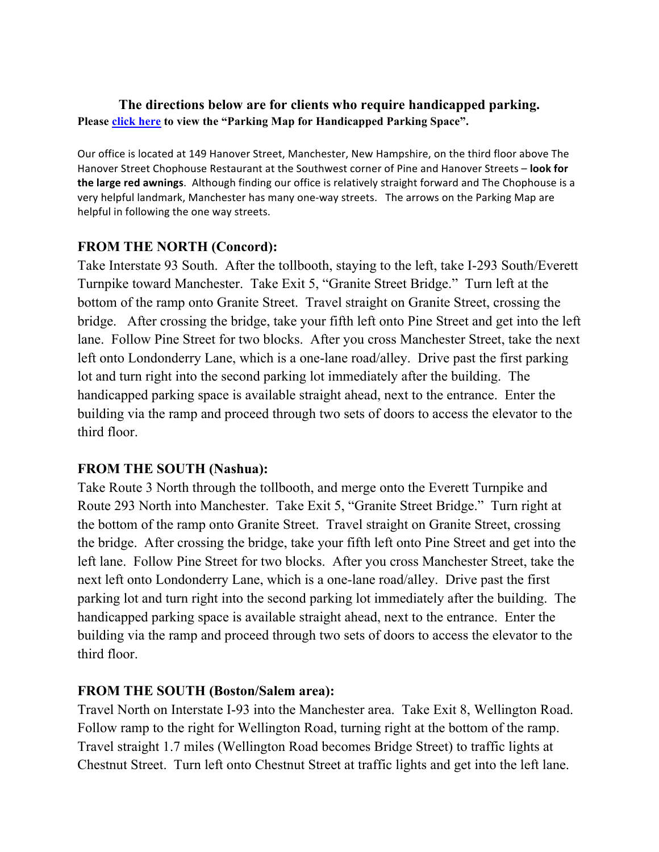### **The directions below are for clients who require handicapped parking. Pleas[e click here t](http://www.butenhofbomster.com/files/BB_ParkingMap_handicap.pdf)o view the "Parking Map for Handicapped Parking Space".**

Our office is located at 149 Hanover Street, Manchester, New Hampshire, on the third floor above The Hanover Street Chophouse Restaurant at the Southwest corner of Pine and Hanover Streets - look for the large red awnings. Although finding our office is relatively straight forward and The Chophouse is a very helpful landmark, Manchester has many one-way streets. The arrows on the Parking Map are helpful in following the one way streets.

### **FROM THE NORTH (Concord):**

Take Interstate 93 South. After the tollbooth, staying to the left, take I-293 South/Everett Turnpike toward Manchester. Take Exit 5, "Granite Street Bridge." Turn left at the bottom of the ramp onto Granite Street. Travel straight on Granite Street, crossing the bridge. After crossing the bridge, take your fifth left onto Pine Street and get into the left lane. Follow Pine Street for two blocks. After you cross Manchester Street, take the next left onto Londonderry Lane, which is a one-lane road/alley. Drive past the first parking lot and turn right into the second parking lot immediately after the building. The handicapped parking space is available straight ahead, next to the entrance. Enter the building via the ramp and proceed through two sets of doors to access the elevator to the third floor.

# **FROM THE SOUTH (Nashua):**

Take Route 3 North through the tollbooth, and merge onto the Everett Turnpike and Route 293 North into Manchester. Take Exit 5, "Granite Street Bridge." Turn right at the bottom of the ramp onto Granite Street. Travel straight on Granite Street, crossing the bridge. After crossing the bridge, take your fifth left onto Pine Street and get into the left lane. Follow Pine Street for two blocks. After you cross Manchester Street, take the next left onto Londonderry Lane, which is a one-lane road/alley. Drive past the first parking lot and turn right into the second parking lot immediately after the building. The handicapped parking space is available straight ahead, next to the entrance. Enter the building via the ramp and proceed through two sets of doors to access the elevator to the third floor.

#### **FROM THE SOUTH (Boston/Salem area):**

Travel North on Interstate I-93 into the Manchester area. Take Exit 8, Wellington Road. Follow ramp to the right for Wellington Road, turning right at the bottom of the ramp. Travel straight 1.7 miles (Wellington Road becomes Bridge Street) to traffic lights at Chestnut Street. Turn left onto Chestnut Street at traffic lights and get into the left lane.